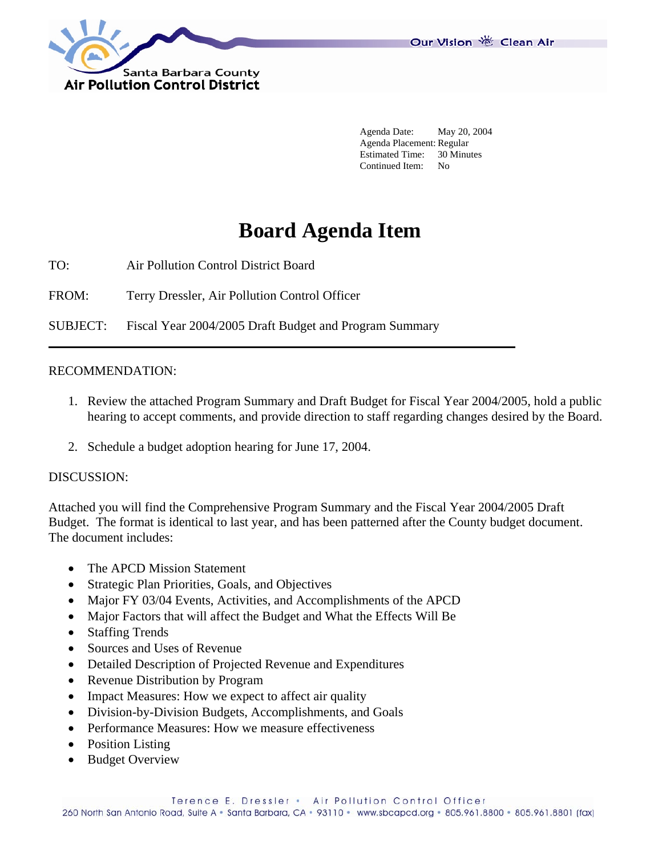

 Agenda Date: May 20, 2004 Agenda Placement: Regular Estimated Time: 30 Minutes Continued Item: No

# **Board Agenda Item**

TO: Air Pollution Control District Board

FROM: Terry Dressler, Air Pollution Control Officer

SUBJECT: Fiscal Year 2004/2005 Draft Budget and Program Summary

#### RECOMMENDATION:

- 1. Review the attached Program Summary and Draft Budget for Fiscal Year 2004/2005, hold a public hearing to accept comments, and provide direction to staff regarding changes desired by the Board.
- 2. Schedule a budget adoption hearing for June 17, 2004.

#### DISCUSSION:

Attached you will find the Comprehensive Program Summary and the Fiscal Year 2004/2005 Draft Budget. The format is identical to last year, and has been patterned after the County budget document. The document includes:

- The APCD Mission Statement
- Strategic Plan Priorities, Goals, and Objectives
- Major FY 03/04 Events, Activities, and Accomplishments of the APCD
- Major Factors that will affect the Budget and What the Effects Will Be
- Staffing Trends
- Sources and Uses of Revenue
- Detailed Description of Projected Revenue and Expenditures
- Revenue Distribution by Program
- Impact Measures: How we expect to affect air quality
- Division-by-Division Budgets, Accomplishments, and Goals
- Performance Measures: How we measure effectiveness
- Position Listing
- Budget Overview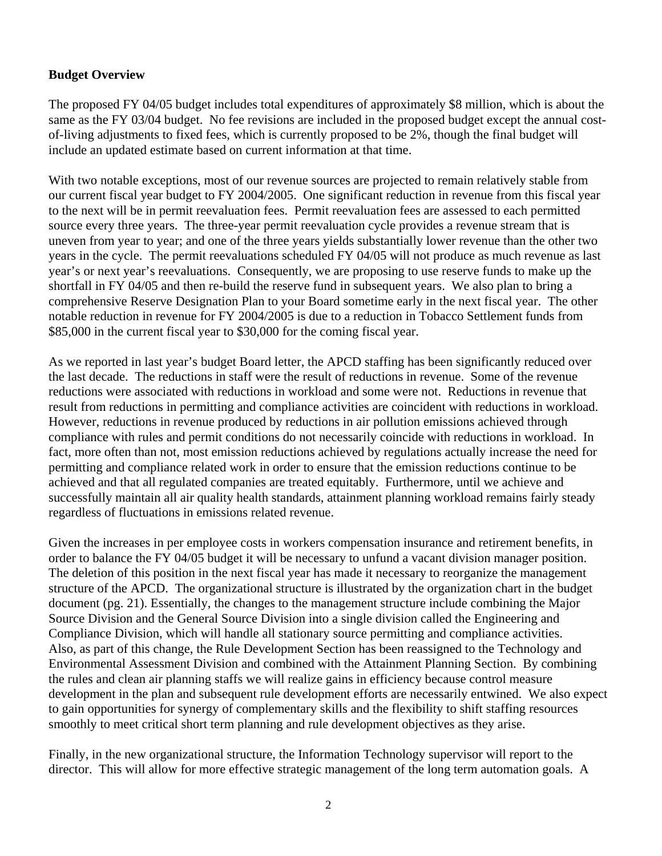## **Budget Overview**

The proposed FY 04/05 budget includes total expenditures of approximately \$8 million, which is about the same as the FY 03/04 budget. No fee revisions are included in the proposed budget except the annual costof-living adjustments to fixed fees, which is currently proposed to be 2%, though the final budget will include an updated estimate based on current information at that time.

With two notable exceptions, most of our revenue sources are projected to remain relatively stable from our current fiscal year budget to FY 2004/2005. One significant reduction in revenue from this fiscal year to the next will be in permit reevaluation fees. Permit reevaluation fees are assessed to each permitted source every three years. The three-year permit reevaluation cycle provides a revenue stream that is uneven from year to year; and one of the three years yields substantially lower revenue than the other two years in the cycle. The permit reevaluations scheduled FY 04/05 will not produce as much revenue as last year's or next year's reevaluations. Consequently, we are proposing to use reserve funds to make up the shortfall in FY 04/05 and then re-build the reserve fund in subsequent years. We also plan to bring a comprehensive Reserve Designation Plan to your Board sometime early in the next fiscal year. The other notable reduction in revenue for FY 2004/2005 is due to a reduction in Tobacco Settlement funds from \$85,000 in the current fiscal year to \$30,000 for the coming fiscal year.

As we reported in last year's budget Board letter, the APCD staffing has been significantly reduced over the last decade. The reductions in staff were the result of reductions in revenue. Some of the revenue reductions were associated with reductions in workload and some were not. Reductions in revenue that result from reductions in permitting and compliance activities are coincident with reductions in workload. However, reductions in revenue produced by reductions in air pollution emissions achieved through compliance with rules and permit conditions do not necessarily coincide with reductions in workload. In fact, more often than not, most emission reductions achieved by regulations actually increase the need for permitting and compliance related work in order to ensure that the emission reductions continue to be achieved and that all regulated companies are treated equitably. Furthermore, until we achieve and successfully maintain all air quality health standards, attainment planning workload remains fairly steady regardless of fluctuations in emissions related revenue.

Given the increases in per employee costs in workers compensation insurance and retirement benefits, in order to balance the FY 04/05 budget it will be necessary to unfund a vacant division manager position. The deletion of this position in the next fiscal year has made it necessary to reorganize the management structure of the APCD. The organizational structure is illustrated by the organization chart in the budget document (pg. 21). Essentially, the changes to the management structure include combining the Major Source Division and the General Source Division into a single division called the Engineering and Compliance Division, which will handle all stationary source permitting and compliance activities. Also, as part of this change, the Rule Development Section has been reassigned to the Technology and Environmental Assessment Division and combined with the Attainment Planning Section. By combining the rules and clean air planning staffs we will realize gains in efficiency because control measure development in the plan and subsequent rule development efforts are necessarily entwined. We also expect to gain opportunities for synergy of complementary skills and the flexibility to shift staffing resources smoothly to meet critical short term planning and rule development objectives as they arise.

Finally, in the new organizational structure, the Information Technology supervisor will report to the director. This will allow for more effective strategic management of the long term automation goals. A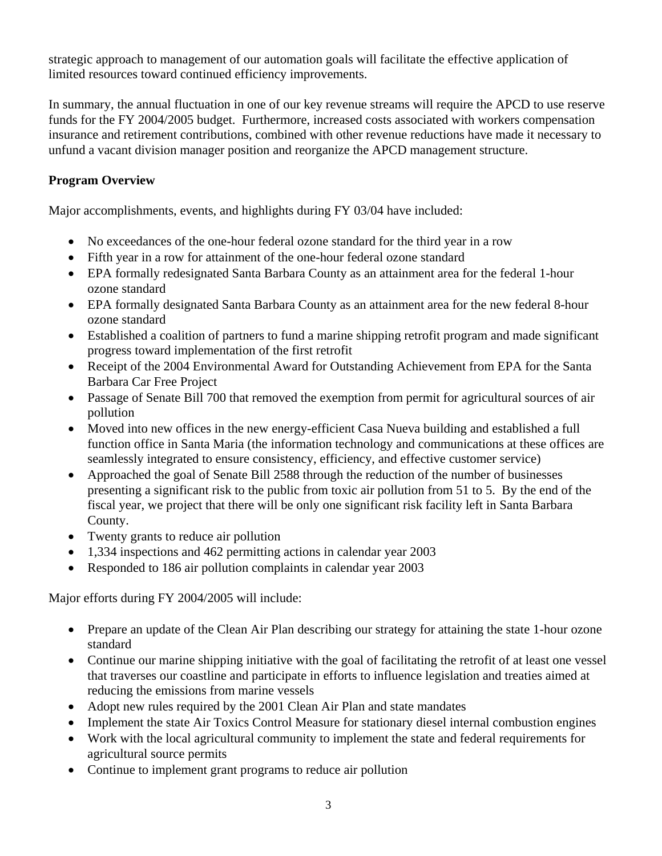strategic approach to management of our automation goals will facilitate the effective application of limited resources toward continued efficiency improvements.

In summary, the annual fluctuation in one of our key revenue streams will require the APCD to use reserve funds for the FY 2004/2005 budget. Furthermore, increased costs associated with workers compensation insurance and retirement contributions, combined with other revenue reductions have made it necessary to unfund a vacant division manager position and reorganize the APCD management structure.

# **Program Overview**

Major accomplishments, events, and highlights during FY 03/04 have included:

- No exceedances of the one-hour federal ozone standard for the third year in a row
- Fifth year in a row for attainment of the one-hour federal ozone standard
- EPA formally redesignated Santa Barbara County as an attainment area for the federal 1-hour ozone standard
- EPA formally designated Santa Barbara County as an attainment area for the new federal 8-hour ozone standard
- Established a coalition of partners to fund a marine shipping retrofit program and made significant progress toward implementation of the first retrofit
- Receipt of the 2004 Environmental Award for Outstanding Achievement from EPA for the Santa Barbara Car Free Project
- Passage of Senate Bill 700 that removed the exemption from permit for agricultural sources of air pollution
- Moved into new offices in the new energy-efficient Casa Nueva building and established a full function office in Santa Maria (the information technology and communications at these offices are seamlessly integrated to ensure consistency, efficiency, and effective customer service)
- Approached the goal of Senate Bill 2588 through the reduction of the number of businesses presenting a significant risk to the public from toxic air pollution from 51 to 5. By the end of the fiscal year, we project that there will be only one significant risk facility left in Santa Barbara County.
- Twenty grants to reduce air pollution
- 1,334 inspections and 462 permitting actions in calendar year 2003
- Responded to 186 air pollution complaints in calendar year 2003

Major efforts during FY 2004/2005 will include:

- Prepare an update of the Clean Air Plan describing our strategy for attaining the state 1-hour ozone standard
- Continue our marine shipping initiative with the goal of facilitating the retrofit of at least one vessel that traverses our coastline and participate in efforts to influence legislation and treaties aimed at reducing the emissions from marine vessels
- Adopt new rules required by the 2001 Clean Air Plan and state mandates
- Implement the state Air Toxics Control Measure for stationary diesel internal combustion engines
- Work with the local agricultural community to implement the state and federal requirements for agricultural source permits
- Continue to implement grant programs to reduce air pollution